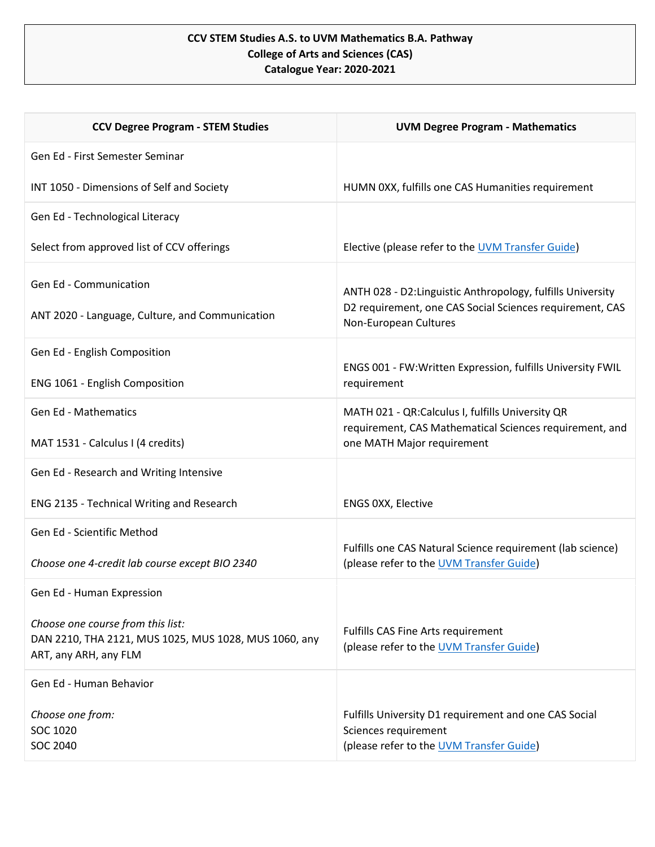## **CCV STEM Studies A.S. to UVM Mathematics B.A. Pathway College of Arts and Sciences (CAS) Catalogue Year: 2020-2021**

| <b>CCV Degree Program - STEM Studies</b>                                                                            | <b>UVM Degree Program - Mathematics</b>                                                                                                          |
|---------------------------------------------------------------------------------------------------------------------|--------------------------------------------------------------------------------------------------------------------------------------------------|
| Gen Ed - First Semester Seminar                                                                                     |                                                                                                                                                  |
| INT 1050 - Dimensions of Self and Society                                                                           | HUMN 0XX, fulfills one CAS Humanities requirement                                                                                                |
| Gen Ed - Technological Literacy                                                                                     |                                                                                                                                                  |
| Select from approved list of CCV offerings                                                                          | Elective (please refer to the UVM Transfer Guide)                                                                                                |
| Gen Ed - Communication<br>ANT 2020 - Language, Culture, and Communication                                           | ANTH 028 - D2: Linguistic Anthropology, fulfills University<br>D2 requirement, one CAS Social Sciences requirement, CAS<br>Non-European Cultures |
| Gen Ed - English Composition                                                                                        | ENGS 001 - FW:Written Expression, fulfills University FWIL                                                                                       |
| ENG 1061 - English Composition                                                                                      | requirement                                                                                                                                      |
| <b>Gen Ed - Mathematics</b>                                                                                         | MATH 021 - QR:Calculus I, fulfills University QR<br>requirement, CAS Mathematical Sciences requirement, and                                      |
| MAT 1531 - Calculus I (4 credits)                                                                                   | one MATH Major requirement                                                                                                                       |
| Gen Ed - Research and Writing Intensive                                                                             |                                                                                                                                                  |
| ENG 2135 - Technical Writing and Research                                                                           | ENGS 0XX, Elective                                                                                                                               |
| Gen Ed - Scientific Method                                                                                          | Fulfills one CAS Natural Science requirement (lab science)                                                                                       |
| Choose one 4-credit lab course except BIO 2340                                                                      | (please refer to the UVM Transfer Guide)                                                                                                         |
| Gen Ed - Human Expression                                                                                           |                                                                                                                                                  |
| Choose one course from this list:<br>DAN 2210, THA 2121, MUS 1025, MUS 1028, MUS 1060, any<br>ART, any ARH, any FLM | Fulfills CAS Fine Arts requirement<br>(please refer to the UVM Transfer Guide)                                                                   |
| Gen Ed - Human Behavior                                                                                             |                                                                                                                                                  |
| Choose one from:<br>SOC 1020<br><b>SOC 2040</b>                                                                     | Fulfills University D1 requirement and one CAS Social<br>Sciences requirement<br>(please refer to the UVM Transfer Guide)                        |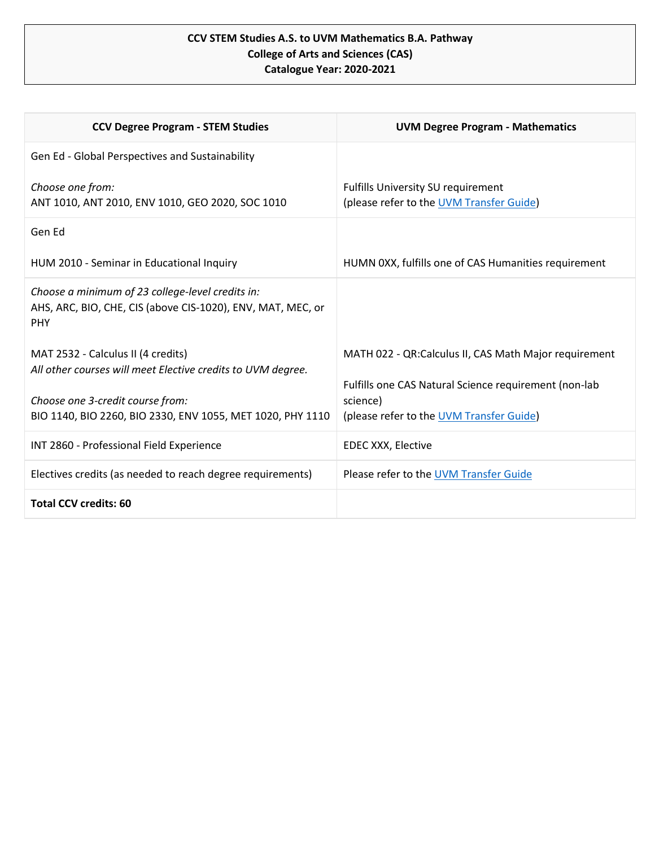## **CCV STEM Studies A.S. to UVM Mathematics B.A. Pathway College of Arts and Sciences (CAS) Catalogue Year: 2020-2021**

| <b>CCV Degree Program - STEM Studies</b>                                                                                      | <b>UVM Degree Program - Mathematics</b>                                                                        |
|-------------------------------------------------------------------------------------------------------------------------------|----------------------------------------------------------------------------------------------------------------|
| Gen Ed - Global Perspectives and Sustainability                                                                               |                                                                                                                |
| Choose one from:<br>ANT 1010, ANT 2010, ENV 1010, GEO 2020, SOC 1010                                                          | <b>Fulfills University SU requirement</b><br>(please refer to the UVM Transfer Guide)                          |
| Gen Ed                                                                                                                        |                                                                                                                |
| HUM 2010 - Seminar in Educational Inquiry                                                                                     | HUMN 0XX, fulfills one of CAS Humanities requirement                                                           |
| Choose a minimum of 23 college-level credits in:<br>AHS, ARC, BIO, CHE, CIS (above CIS-1020), ENV, MAT, MEC, or<br><b>PHY</b> |                                                                                                                |
| MAT 2532 - Calculus II (4 credits)<br>All other courses will meet Elective credits to UVM degree.                             | MATH 022 - QR:Calculus II, CAS Math Major requirement<br>Fulfills one CAS Natural Science requirement (non-lab |
| Choose one 3-credit course from:                                                                                              | science)                                                                                                       |
| BIO 1140, BIO 2260, BIO 2330, ENV 1055, MET 1020, PHY 1110                                                                    | (please refer to the UVM Transfer Guide)                                                                       |
| INT 2860 - Professional Field Experience                                                                                      | <b>EDEC XXX, Elective</b>                                                                                      |
| Electives credits (as needed to reach degree requirements)                                                                    | Please refer to the UVM Transfer Guide                                                                         |
| <b>Total CCV credits: 60</b>                                                                                                  |                                                                                                                |